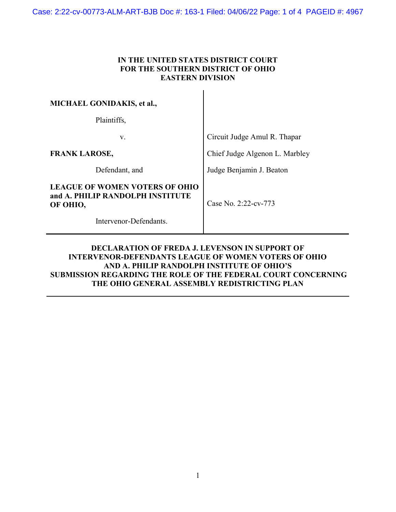## IN THE UNITED STATES DISTRICT COURT FOR THE SOUTHERN DISTRICT OF OHIO EASTERN DIVISION

 $\mathbf{I}$ 

| <b>MICHAEL GONIDAKIS, et al.,</b>                                              |                                |
|--------------------------------------------------------------------------------|--------------------------------|
| Plaintiffs,                                                                    |                                |
| V.                                                                             | Circuit Judge Amul R. Thapar   |
| <b>FRANK LAROSE,</b>                                                           | Chief Judge Algenon L. Marbley |
| Defendant, and                                                                 | Judge Benjamin J. Beaton       |
| LEAGUE OF WOMEN VOTERS OF OHIO<br>and A. PHILIP RANDOLPH INSTITUTE<br>OF OHIO, | Case No. $2:22$ -cv-773        |
| Intervenor-Defendants.                                                         |                                |

## DECLARATION OF FREDA J. LEVENSON IN SUPPORT OF INTERVENOR-DEFENDANTS LEAGUE OF WOMEN VOTERS OF OHIO AND A. PHILIP RANDOLPH INSTITUTE OF OHIO'S SUBMISSION REGARDING THE ROLE OF THE FEDERAL COURT CONCERNING THE OHIO GENERAL ASSEMBLY REDISTRICTING PLAN

l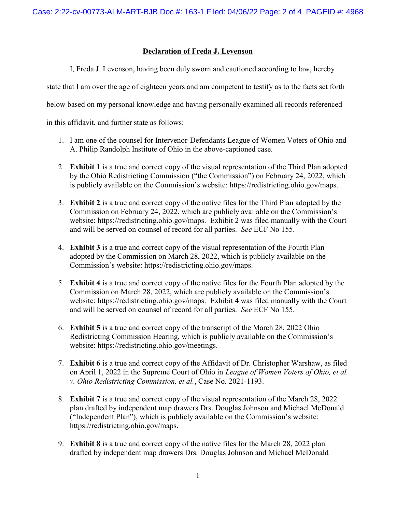## Declaration of Freda J. Levenson

I, Freda J. Levenson, having been duly sworn and cautioned according to law, hereby

state that I am over the age of eighteen years and am competent to testify as to the facts set forth

below based on my personal knowledge and having personally examined all records referenced

in this affidavit, and further state as follows:

- 1. I am one of the counsel for Intervenor-Defendants League of Women Voters of Ohio and A. Philip Randolph Institute of Ohio in the above-captioned case.
- 2. Exhibit 1 is a true and correct copy of the visual representation of the Third Plan adopted by the Ohio Redistricting Commission ("the Commission") on February 24, 2022, which is publicly available on the Commission's website: https://redistricting.ohio.gov/maps.
- 3. Exhibit 2 is a true and correct copy of the native files for the Third Plan adopted by the Commission on February 24, 2022, which are publicly available on the Commission's website: https://redistricting.ohio.gov/maps. Exhibit 2 was filed manually with the Court and will be served on counsel of record for all parties. See ECF No 155.
- 4. Exhibit 3 is a true and correct copy of the visual representation of the Fourth Plan adopted by the Commission on March 28, 2022, which is publicly available on the Commission's website: https://redistricting.ohio.gov/maps.
- 5. Exhibit 4 is a true and correct copy of the native files for the Fourth Plan adopted by the Commission on March 28, 2022, which are publicly available on the Commission's website: https://redistricting.ohio.gov/maps. Exhibit 4 was filed manually with the Court and will be served on counsel of record for all parties. See ECF No 155.
- 6. Exhibit 5 is a true and correct copy of the transcript of the March 28, 2022 Ohio Redistricting Commission Hearing, which is publicly available on the Commission's website: https://redistricting.ohio.gov/meetings.
- 7. Exhibit 6 is a true and correct copy of the Affidavit of Dr. Christopher Warshaw, as filed on April 1, 2022 in the Supreme Court of Ohio in League of Women Voters of Ohio, et al. v. Ohio Redistricting Commission, et al., Case No. 2021-1193.
- 8. Exhibit 7 is a true and correct copy of the visual representation of the March 28, 2022 plan drafted by independent map drawers Drs. Douglas Johnson and Michael McDonald ("Independent Plan"), which is publicly available on the Commission's website: https://redistricting.ohio.gov/maps.
- 9. **Exhibit 8** is a true and correct copy of the native files for the March 28, 2022 plan drafted by independent map drawers Drs. Douglas Johnson and Michael McDonald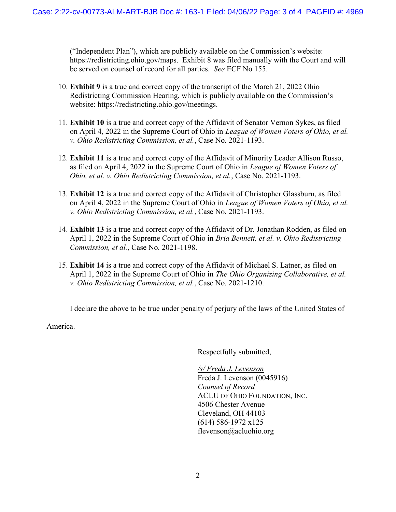("Independent Plan"), which are publicly available on the Commission's website: https://redistricting.ohio.gov/maps. Exhibit 8 was filed manually with the Court and will be served on counsel of record for all parties. See ECF No 155.

- 10. Exhibit 9 is a true and correct copy of the transcript of the March 21, 2022 Ohio Redistricting Commission Hearing, which is publicly available on the Commission's website: https://redistricting.ohio.gov/meetings.
- 11. Exhibit 10 is a true and correct copy of the Affidavit of Senator Vernon Sykes, as filed on April 4, 2022 in the Supreme Court of Ohio in League of Women Voters of Ohio, et al. v. Ohio Redistricting Commission, et al., Case No. 2021-1193.
- 12. Exhibit 11 is a true and correct copy of the Affidavit of Minority Leader Allison Russo, as filed on April 4, 2022 in the Supreme Court of Ohio in League of Women Voters of Ohio, et al. v. Ohio Redistricting Commission, et al., Case No. 2021-1193.
- 13. Exhibit 12 is a true and correct copy of the Affidavit of Christopher Glassburn, as filed on April 4, 2022 in the Supreme Court of Ohio in League of Women Voters of Ohio, et al. v. Ohio Redistricting Commission, et al., Case No. 2021-1193.
- 14. Exhibit 13 is a true and correct copy of the Affidavit of Dr. Jonathan Rodden, as filed on April 1, 2022 in the Supreme Court of Ohio in *Bria Bennett, et al. v. Ohio Redistricting* Commission, et al., Case No. 2021-1198.
- 15. Exhibit 14 is a true and correct copy of the Affidavit of Michael S. Latner, as filed on April 1, 2022 in the Supreme Court of Ohio in The Ohio Organizing Collaborative, et al. v. Ohio Redistricting Commission, et al., Case No. 2021-1210.

I declare the above to be true under penalty of perjury of the laws of the United States of

America.

Respectfully submitted,

/s/ Freda J. Levenson Freda J. Levenson (0045916) Counsel of Record ACLU OF OHIO FOUNDATION, INC. 4506 Chester Avenue Cleveland, OH 44103 (614) 586-1972 x125 flevenson@acluohio.org